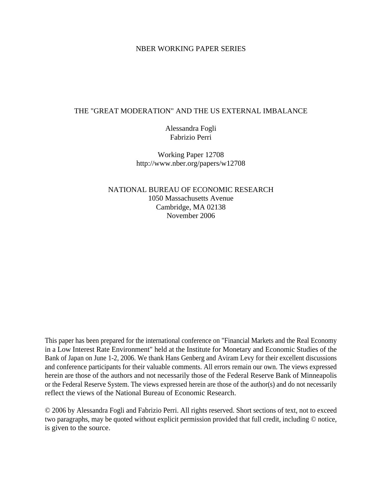#### NBER WORKING PAPER SERIES

#### THE "GREAT MODERATION" AND THE US EXTERNAL IMBALANCE

Alessandra Fogli Fabrizio Perri

Working Paper 12708 http://www.nber.org/papers/w12708

NATIONAL BUREAU OF ECONOMIC RESEARCH 1050 Massachusetts Avenue Cambridge, MA 02138 November 2006

This paper has been prepared for the international conference on "Financial Markets and the Real Economy in a Low Interest Rate Environment" held at the Institute for Monetary and Economic Studies of the Bank of Japan on June 1-2, 2006. We thank Hans Genberg and Aviram Levy for their excellent discussions and conference participants for their valuable comments. All errors remain our own. The views expressed herein are those of the authors and not necessarily those of the Federal Reserve Bank of Minneapolis or the Federal Reserve System. The views expressed herein are those of the author(s) and do not necessarily reflect the views of the National Bureau of Economic Research.

© 2006 by Alessandra Fogli and Fabrizio Perri. All rights reserved. Short sections of text, not to exceed two paragraphs, may be quoted without explicit permission provided that full credit, including © notice, is given to the source.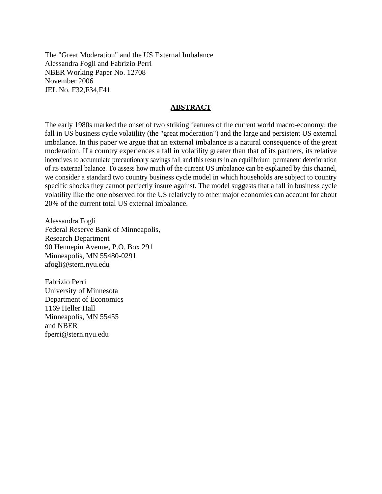The "Great Moderation" and the US External Imbalance Alessandra Fogli and Fabrizio Perri NBER Working Paper No. 12708 November 2006 JEL No. F32,F34,F41

### **ABSTRACT**

The early 1980s marked the onset of two striking features of the current world macro-economy: the fall in US business cycle volatility (the "great moderation") and the large and persistent US external imbalance. In this paper we argue that an external imbalance is a natural consequence of the great moderation. If a country experiences a fall in volatility greater than that of its partners, its relative incentives to accumulate precautionary savings fall and this results in an equilibrium permanent deterioration of its external balance. To assess how much of the current US imbalance can be explained by this channel, we consider a standard two country business cycle model in which households are subject to country specific shocks they cannot perfectly insure against. The model suggests that a fall in business cycle volatility like the one observed for the US relatively to other major economies can account for about 20% of the current total US external imbalance.

Alessandra Fogli Federal Reserve Bank of Minneapolis, Research Department 90 Hennepin Avenue, P.O. Box 291 Minneapolis, MN 55480-0291 afogli@stern.nyu.edu

Fabrizio Perri University of Minnesota Department of Economics 1169 Heller Hall Minneapolis, MN 55455 and NBER fperri@stern.nyu.edu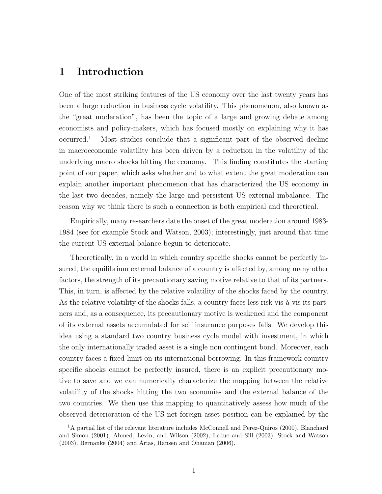## 1 Introduction

One of the most striking features of the US economy over the last twenty years has been a large reduction in business cycle volatility. This phenomenon, also known as the "great moderation", has been the topic of a large and growing debate among economists and policy-makers, which has focused mostly on explaining why it has occurred.<sup>1</sup> Most studies conclude that a significant part of the observed decline in macroeconomic volatility has been driven by a reduction in the volatility of the underlying macro shocks hitting the economy. This finding constitutes the starting point of our paper, which asks whether and to what extent the great moderation can explain another important phenomenon that has characterized the US economy in the last two decades, namely the large and persistent US external imbalance. The reason why we think there is such a connection is both empirical and theoretical.

Empirically, many researchers date the onset of the great moderation around 1983- 1984 (see for example Stock and Watson, 2003); interestingly, just around that time the current US external balance begun to deteriorate.

Theoretically, in a world in which country specific shocks cannot be perfectly insured, the equilibrium external balance of a country is affected by, among many other factors, the strength of its precautionary saving motive relative to that of its partners. This, in turn, is affected by the relative volatility of the shocks faced by the country. As the relative volatility of the shocks falls, a country faces less risk vis- $\hat{a}$ -vis its partners and, as a consequence, its precautionary motive is weakened and the component of its external assets accumulated for self insurance purposes falls. We develop this idea using a standard two country business cycle model with investment, in which the only internationally traded asset is a single non contingent bond. Moreover, each country faces a fixed limit on its international borrowing. In this framework country specific shocks cannot be perfectly insured, there is an explicit precautionary motive to save and we can numerically characterize the mapping between the relative volatility of the shocks hitting the two economies and the external balance of the two countries. We then use this mapping to quantitatively assess how much of the observed deterioration of the US net foreign asset position can be explained by the

 $1<sup>1</sup>$ A partial list of the relevant literature includes McConnell and Perez-Quiros (2000), Blanchard and Simon (2001), Ahmed, Levin, and Wilson (2002), Leduc and Sill (2003), Stock and Watson (2003), Bernanke (2004) and Arias, Hansen and Ohanian (2006).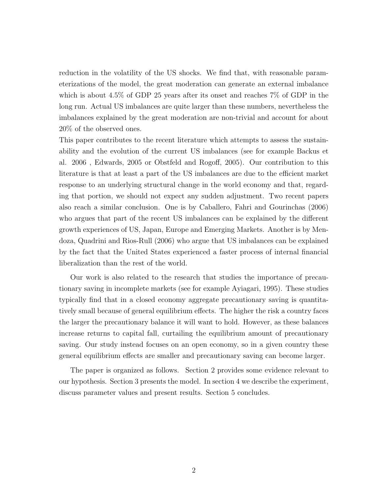reduction in the volatility of the US shocks. We find that, with reasonable parameterizations of the model, the great moderation can generate an external imbalance which is about 4.5% of GDP 25 years after its onset and reaches 7% of GDP in the long run. Actual US imbalances are quite larger than these numbers, nevertheless the imbalances explained by the great moderation are non-trivial and account for about 20% of the observed ones.

This paper contributes to the recent literature which attempts to assess the sustainability and the evolution of the current US imbalances (see for example Backus et al. 2006 , Edwards, 2005 or Obstfeld and Rogoff, 2005). Our contribution to this literature is that at least a part of the US imbalances are due to the efficient market response to an underlying structural change in the world economy and that, regarding that portion, we should not expect any sudden adjustment. Two recent papers also reach a similar conclusion. One is by Caballero, Fahri and Gourinchas (2006) who argues that part of the recent US imbalances can be explained by the different growth experiences of US, Japan, Europe and Emerging Markets. Another is by Mendoza, Quadrini and Rios-Rull (2006) who argue that US imbalances can be explained by the fact that the United States experienced a faster process of internal financial liberalization than the rest of the world.

Our work is also related to the research that studies the importance of precautionary saving in incomplete markets (see for example Ayiagari, 1995). These studies typically find that in a closed economy aggregate precautionary saving is quantitatively small because of general equilibrium effects. The higher the risk a country faces the larger the precautionary balance it will want to hold. However, as these balances increase returns to capital fall, curtailing the equilibrium amount of precautionary saving. Our study instead focuses on an open economy, so in a given country these general equilibrium effects are smaller and precautionary saving can become larger.

The paper is organized as follows. Section 2 provides some evidence relevant to our hypothesis. Section 3 presents the model. In section 4 we describe the experiment, discuss parameter values and present results. Section 5 concludes.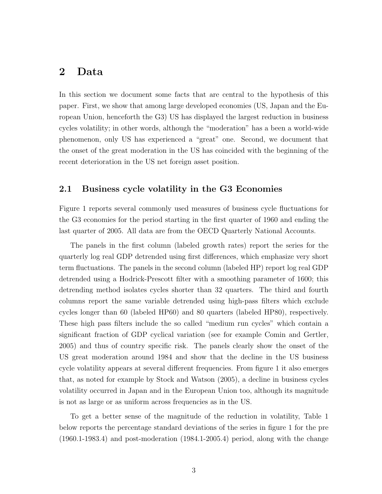## 2 Data

In this section we document some facts that are central to the hypothesis of this paper. First, we show that among large developed economies (US, Japan and the European Union, henceforth the G3) US has displayed the largest reduction in business cycles volatility; in other words, although the "moderation" has a been a world-wide phenomenon, only US has experienced a "great" one. Second, we document that the onset of the great moderation in the US has coincided with the beginning of the recent deterioration in the US net foreign asset position.

### 2.1 Business cycle volatility in the G3 Economies

Figure 1 reports several commonly used measures of business cycle fluctuations for the G3 economies for the period starting in the first quarter of 1960 and ending the last quarter of 2005. All data are from the OECD Quarterly National Accounts.

The panels in the first column (labeled growth rates) report the series for the quarterly log real GDP detrended using first differences, which emphasize very short term fluctuations. The panels in the second column (labeled HP) report log real GDP detrended using a Hodrick-Prescott filter with a smoothing parameter of 1600; this detrending method isolates cycles shorter than 32 quarters. The third and fourth columns report the same variable detrended using high-pass filters which exclude cycles longer than 60 (labeled HP60) and 80 quarters (labeled HP80), respectively. These high pass filters include the so called "medium run cycles" which contain a significant fraction of GDP cyclical variation (see for example Comin and Gertler, 2005) and thus of country specific risk. The panels clearly show the onset of the US great moderation around 1984 and show that the decline in the US business cycle volatility appears at several different frequencies. From figure 1 it also emerges that, as noted for example by Stock and Watson (2005), a decline in business cycles volatility occurred in Japan and in the European Union too, although its magnitude is not as large or as uniform across frequencies as in the US.

To get a better sense of the magnitude of the reduction in volatility, Table 1 below reports the percentage standard deviations of the series in figure 1 for the pre (1960.1-1983.4) and post-moderation (1984.1-2005.4) period, along with the change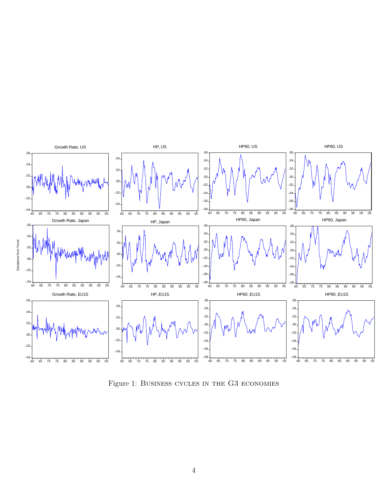

Figure 1: Business cycles in the G3 economies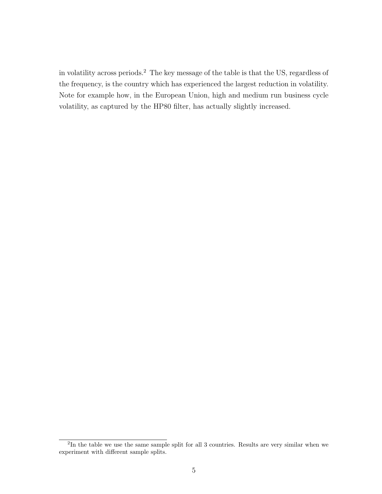in volatility across periods.<sup>2</sup> The key message of the table is that the US, regardless of the frequency, is the country which has experienced the largest reduction in volatility. Note for example how, in the European Union, high and medium run business cycle volatility, as captured by the HP80 filter, has actually slightly increased.

<sup>&</sup>lt;sup>2</sup>In the table we use the same sample split for all 3 countries. Results are very similar when we experiment with different sample splits.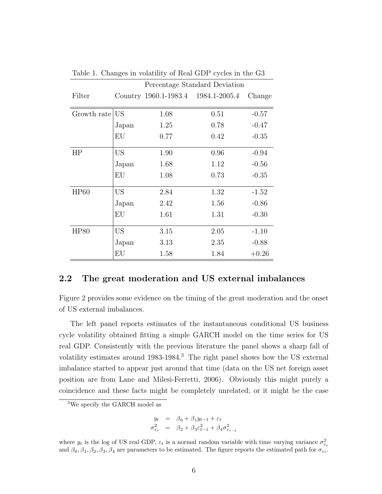|             |                 | Percentage Standard Deviation       |      |         |  |  |
|-------------|-----------------|-------------------------------------|------|---------|--|--|
| Filter      |                 | Country 1960.1-1983.4 1984.1-2005.4 |      | Change  |  |  |
|             |                 |                                     |      |         |  |  |
| Growth rate | US <sup>-</sup> | 1.08                                | 0.51 | $-0.57$ |  |  |
|             | Japan           | 1.25                                | 0.78 | $-0.47$ |  |  |
|             | EU              | 0.77                                | 0.42 | $-0.35$ |  |  |
| HP          | US <sub></sub>  | 1.90                                | 0.96 | $-0.94$ |  |  |
|             | Japan           | 1.68                                | 1.12 | $-0.56$ |  |  |
|             | EU              | 1.08                                | 0.73 | $-0.35$ |  |  |
| <b>HP60</b> | <b>US</b>       | 2.84                                | 1.32 | $-1.52$ |  |  |
|             | Japan           | 2.42                                | 1.56 | $-0.86$ |  |  |
|             | EU              | 1.61                                | 1.31 | $-0.30$ |  |  |
| <b>HP80</b> | <b>US</b>       | 3.15                                | 2.05 | $-1.10$ |  |  |
|             | Japan           | 3.13                                | 2.35 | $-0.88$ |  |  |
|             | EU              | 1.58                                | 1.84 | $+0.26$ |  |  |

Table 1. Changes in volatility of Real GDP cycles in the G3

#### 2.2 The great moderation and US external imbalances

Figure 2 provides some evidence on the timing of the great moderation and the onset of US external imbalances.

The left panel reports estimates of the instantaneous conditional US business cycle volatility obtained fitting a simple GARCH model on the time series for US real GDP. Consistently with the previous literature the panel shows a sharp fall of volatility estimates around 1983-1984.<sup>3</sup> The right panel shows how the US external imbalance started to appear just around that time (data on the US net foreign asset position are from Lane and Milesi-Ferretti, 2006). Obviously this might purely a coincidence and these facts might be completely unrelated; or it might be the case

$$
y_t = \beta_0 + \beta_1 y_{t-1} + \varepsilon_t
$$
  

$$
\sigma_{\varepsilon_t}^2 = \beta_2 + \beta_3 \varepsilon_{t-1}^2 + \beta_4 \sigma_{\varepsilon_{t-1}}^2
$$

where  $y_t$  is the log of US real GDP,  $\varepsilon_t$  is a normal random variable with time varying variance  $\sigma_{\varepsilon_t}^2$  and  $\beta_0, \beta_1, \beta_2, \beta_3, \beta_4$  are parameters to be estimated. The figure reports the estimated path for  $\$ 

<sup>3</sup>We specify the GARCH model as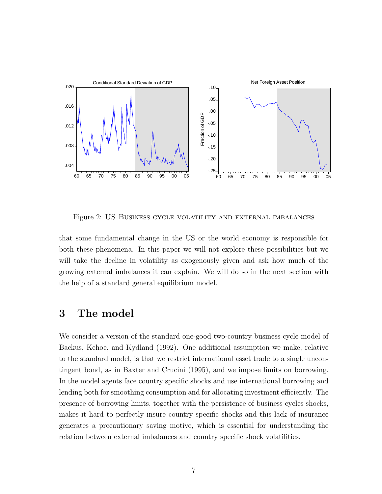

Figure 2: US Business cycle volatility and external imbalances

that some fundamental change in the US or the world economy is responsible for both these phenomena. In this paper we will not explore these possibilities but we will take the decline in volatility as exogenously given and ask how much of the growing external imbalances it can explain. We will do so in the next section with the help of a standard general equilibrium model.

## 3 The model

We consider a version of the standard one-good two-country business cycle model of Backus, Kehoe, and Kydland (1992). One additional assumption we make, relative to the standard model, is that we restrict international asset trade to a single uncontingent bond, as in Baxter and Crucini (1995), and we impose limits on borrowing. In the model agents face country specific shocks and use international borrowing and lending both for smoothing consumption and for allocating investment efficiently. The presence of borrowing limits, together with the persistence of business cycles shocks, makes it hard to perfectly insure country specific shocks and this lack of insurance generates a precautionary saving motive, which is essential for understanding the relation between external imbalances and country specific shock volatilities.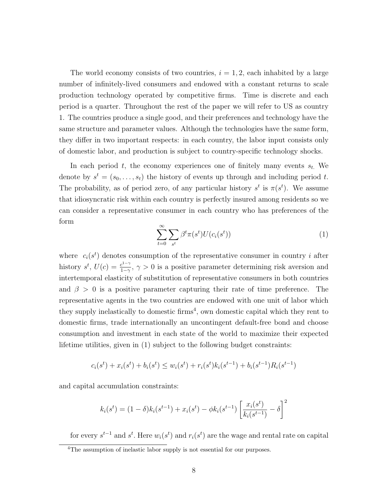The world economy consists of two countries,  $i = 1, 2$ , each inhabited by a large number of infinitely-lived consumers and endowed with a constant returns to scale production technology operated by competitive firms. Time is discrete and each period is a quarter. Throughout the rest of the paper we will refer to US as country 1. The countries produce a single good, and their preferences and technology have the same structure and parameter values. Although the technologies have the same form, they differ in two important respects: in each country, the labor input consists only of domestic labor, and production is subject to country-specific technology shocks.

In each period t, the economy experiences one of finitely many events  $s_t$ . We denote by  $s^t = (s_0, \ldots, s_t)$  the history of events up through and including period t. The probability, as of period zero, of any particular history  $s^t$  is  $\pi(s^t)$ . We assume that idiosyncratic risk within each country is perfectly insured among residents so we can consider a representative consumer in each country who has preferences of the form

$$
\sum_{t=0}^{\infty} \sum_{s^t} \beta^t \pi(s^t) U(c_i(s^t)) \tag{1}
$$

where  $c_i(s^t)$  denotes consumption of the representative consumer in country *i* after history  $s^t$ ,  $U(c) = \frac{c^{1-\gamma}}{1-c}$  $\frac{c^{1-\gamma}}{1-\gamma}$ ,  $\gamma > 0$  is a positive parameter determining risk aversion and intertemporal elasticity of substitution of representative consumers in both countries and  $\beta > 0$  is a positive parameter capturing their rate of time preference. The representative agents in the two countries are endowed with one unit of labor which they supply inelastically to domestic firms<sup>4</sup>, own domestic capital which they rent to domestic firms, trade internationally an uncontingent default-free bond and choose consumption and investment in each state of the world to maximize their expected lifetime utilities, given in (1) subject to the following budget constraints:

$$
c_i(s^t) + x_i(s^t) + b_i(s^t) \le w_i(s^t) + r_i(s^t)k_i(s^{t-1}) + b_i(s^{t-1})R_i(s^{t-1})
$$

and capital accumulation constraints:

$$
k_i(s^t) = (1 - \delta)k_i(s^{t-1}) + x_i(s^t) - \phi k_i(s^{t-1}) \left[ \frac{x_i(s^t)}{k_i(s^{t-1})} - \delta \right]^2
$$

for every  $s^{t-1}$  and  $s^t$ . Here  $w_i(s^t)$  and  $r_i(s^t)$  are the wage and rental rate on capital

<sup>&</sup>lt;sup>4</sup>The assumption of inelastic labor supply is not essential for our purposes.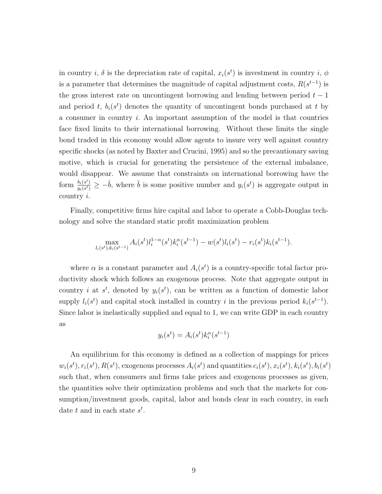in country *i*,  $\delta$  is the depreciation rate of capital,  $x_i(s^t)$  is investment in country *i*,  $\phi$ is a parameter that determines the magnitude of capital adjustment costs,  $R(s^{t-1})$  is the gross interest rate on uncontingent borrowing and lending between period  $t - 1$ and period t,  $b_i(s^t)$  denotes the quantity of uncontingent bonds purchased at t by a consumer in country  $i$ . An important assumption of the model is that countries face fixed limits to their international borrowing. Without these limits the single bond traded in this economy would allow agents to insure very well against country specific shocks (as noted by Baxter and Crucini, 1995) and so the precautionary saving motive, which is crucial for generating the persistence of the external imbalance, would disappear. We assume that constraints on international borrowing have the form  $\frac{b_i(s^t)}{u_i(s^t)}$  $\frac{b_i(s^t)}{y_i(s^t)} \geq -\bar{b}$ , where  $\bar{b}$  is some positive number and  $y_i(s^t)$  is aggregate output in country i.

Finally, competitive firms hire capital and labor to operate a Cobb-Douglas technology and solve the standard static profit maximization problem

$$
\max_{l_i(s^t), k_i(s^{t-1})} A_i(s^t) l_i^{1-\alpha}(s^t) k_i^{\alpha}(s^{t-1}) - w(s^t) l_i(s^t) - r_i(s^t) k_i(s^{t-1}).
$$

where  $\alpha$  is a constant parameter and  $A_i(s^t)$  is a country-specific total factor productivity shock which follows an exogenous process. Note that aggregate output in country *i* at  $s^t$ , denoted by  $y_i(s^t)$ , can be written as a function of domestic labor supply  $l_i(s^t)$  and capital stock installed in country i in the previous period  $k_i(s^{t-1})$ . Since labor is inelastically supplied and equal to 1, we can write GDP in each country as

$$
y_i(s^t) = A_i(s^t)k_i^{\alpha}(s^{t-1})
$$

An equilibrium for this economy is defined as a collection of mappings for prices  $w_i(s^t), r_i(s^t), R(s^t)$ , exogenous processes  $A_i(s^t)$  and quantities  $c_i(s^t), x_i(s^t), k_i(s^t), b_i(s^t)$ such that, when consumers and firms take prices and exogenous processes as given, the quantities solve their optimization problems and such that the markets for consumption/investment goods, capital, labor and bonds clear in each country, in each date  $t$  and in each state  $s^t$ .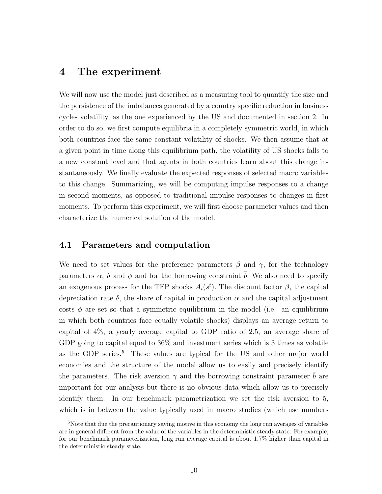## 4 The experiment

We will now use the model just described as a measuring tool to quantify the size and the persistence of the imbalances generated by a country specific reduction in business cycles volatility, as the one experienced by the US and documented in section 2. In order to do so, we first compute equilibria in a completely symmetric world, in which both countries face the same constant volatility of shocks. We then assume that at a given point in time along this equilibrium path, the volatility of US shocks falls to a new constant level and that agents in both countries learn about this change instantaneously. We finally evaluate the expected responses of selected macro variables to this change. Summarizing, we will be computing impulse responses to a change in second moments, as opposed to traditional impulse responses to changes in first moments. To perform this experiment, we will first choose parameter values and then characterize the numerical solution of the model.

### 4.1 Parameters and computation

We need to set values for the preference parameters  $\beta$  and  $\gamma$ , for the technology parameters  $\alpha$ ,  $\delta$  and  $\phi$  and for the borrowing constraint  $\bar{b}$ . We also need to specify an exogenous process for the TFP shocks  $A_i(s^t)$ . The discount factor  $\beta$ , the capital depreciation rate  $\delta$ , the share of capital in production  $\alpha$  and the capital adjustment costs  $\phi$  are set so that a symmetric equilibrium in the model (i.e. an equilibrium in which both countries face equally volatile shocks) displays an average return to capital of 4%, a yearly average capital to GDP ratio of 2.5, an average share of GDP going to capital equal to 36% and investment series which is 3 times as volatile as the GDP series.<sup>5</sup> These values are typical for the US and other major world economies and the structure of the model allow us to easily and precisely identify the parameters. The risk aversion  $\gamma$  and the borrowing constraint parameter b are important for our analysis but there is no obvious data which allow us to precisely identify them. In our benchmark parametrization we set the risk aversion to 5, which is in between the value typically used in macro studies (which use numbers

<sup>5</sup>Note that due the precautionary saving motive in this economy the long run averages of variables are in general different from the value of the variables in the deterministic steady state. For example, for our benchmark parameterization, long run average capital is about 1.7% higher than capital in the deterministic steady state.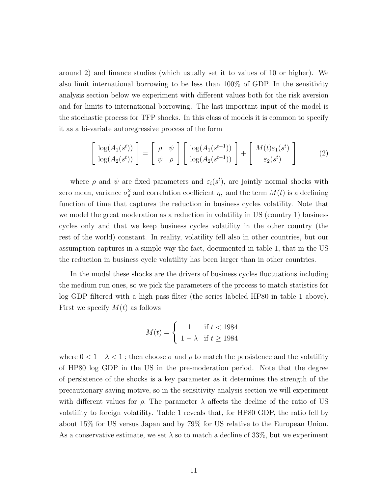around 2) and finance studies (which usually set it to values of 10 or higher). We also limit international borrowing to be less than 100% of GDP. In the sensitivity analysis section below we experiment with different values both for the risk aversion and for limits to international borrowing. The last important input of the model is the stochastic process for TFP shocks. In this class of models it is common to specify it as a bi-variate autoregressive process of the form

$$
\begin{bmatrix}\n\log(A_1(s^t)) \\
\log(A_2(s^t))\n\end{bmatrix} = \begin{bmatrix}\n\rho & \psi \\
\psi & \rho\n\end{bmatrix} \begin{bmatrix}\n\log(A_1(s^{t-1})) \\
\log(A_2(s^{t-1}))\n\end{bmatrix} + \begin{bmatrix}\nM(t)\varepsilon_1(s^t) \\
\varepsilon_2(s^t)\n\end{bmatrix}
$$
\n(2)

where  $\rho$  and  $\psi$  are fixed parameters and  $\varepsilon_i(s^t)$ , are jointly normal shocks with zero mean, variance  $\sigma_{\varepsilon}^2$  and correlation coefficient  $\eta$ , and the term  $M(t)$  is a declining function of time that captures the reduction in business cycles volatility. Note that we model the great moderation as a reduction in volatility in US (country 1) business cycles only and that we keep business cycles volatility in the other country (the rest of the world) constant. In reality, volatility fell also in other countries, but our assumption captures in a simple way the fact, documented in table 1, that in the US the reduction in business cycle volatility has been larger than in other countries.

In the model these shocks are the drivers of business cycles fluctuations including the medium run ones, so we pick the parameters of the process to match statistics for log GDP filtered with a high pass filter (the series labeled HP80 in table 1 above). First we specify  $M(t)$  as follows

$$
M(t) = \begin{cases} 1 & \text{if } t < 1984 \\ 1 - \lambda & \text{if } t \ge 1984 \end{cases}
$$

where  $0 < 1 - \lambda < 1$ ; then choose  $\sigma$  and  $\rho$  to match the persistence and the volatility of HP80 log GDP in the US in the pre-moderation period. Note that the degree of persistence of the shocks is a key parameter as it determines the strength of the precautionary saving motive, so in the sensitivity analysis section we will experiment with different values for  $\rho$ . The parameter  $\lambda$  affects the decline of the ratio of US volatility to foreign volatility. Table 1 reveals that, for HP80 GDP, the ratio fell by about 15% for US versus Japan and by 79% for US relative to the European Union. As a conservative estimate, we set  $\lambda$  so to match a decline of 33%, but we experiment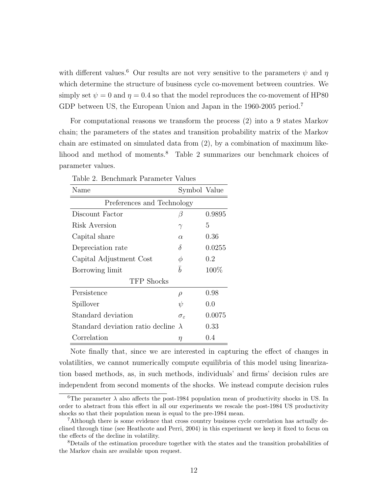with different values.<sup>6</sup> Our results are not very sensitive to the parameters  $\psi$  and  $\eta$ which determine the structure of business cycle co-movement between countries. We simply set  $\psi = 0$  and  $\eta = 0.4$  so that the model reproduces the co-movement of HP80 GDP between US, the European Union and Japan in the 1960-2005 period.<sup>7</sup>

For computational reasons we transform the process (2) into a 9 states Markov chain; the parameters of the states and transition probability matrix of the Markov chain are estimated on simulated data from (2), by a combination of maximum likelihood and method of moments.<sup>8</sup> Table 2 summarizes our benchmark choices of parameter values.

| Table 2. Benchmark Parameter Values |                        |         |  |  |  |  |  |
|-------------------------------------|------------------------|---------|--|--|--|--|--|
| Name                                | Symbol Value           |         |  |  |  |  |  |
| Preferences and Technology          |                        |         |  |  |  |  |  |
| Discount Factor                     | $\beta$                | 0.9895  |  |  |  |  |  |
| Risk Aversion                       | $\gamma$               | 5       |  |  |  |  |  |
| Capital share                       | $\alpha$               | 0.36    |  |  |  |  |  |
| Depreciation rate                   | δ                      | 0.0255  |  |  |  |  |  |
| Capital Adjustment Cost             | Ф                      | 0.2     |  |  |  |  |  |
| Borrowing limit                     | $\bar{b}$              | $100\%$ |  |  |  |  |  |
| TFP Shocks                          |                        |         |  |  |  |  |  |
| Persistence                         | $\rho$                 | 0.98    |  |  |  |  |  |
| Spillover                           | $\psi$                 | 0.0     |  |  |  |  |  |
| Standard deviation                  | $\sigma_{\varepsilon}$ | 0.0075  |  |  |  |  |  |
| Standard deviation ratio decline    | $\lambda$              | 0.33    |  |  |  |  |  |
| Correlation                         | η                      | 0.4     |  |  |  |  |  |

Note finally that, since we are interested in capturing the effect of changes in volatilities, we cannot numerically compute equilibria of this model using linearization based methods, as, in such methods, individuals' and firms' decision rules are independent from second moments of the shocks. We instead compute decision rules

<sup>&</sup>lt;sup>6</sup>The parameter  $\lambda$  also affects the post-1984 population mean of productivity shocks in US. In order to abstract from this effect in all our experiments we rescale the post-1984 US productivity shocks so that their population mean is equal to the pre-1984 mean.

<sup>7</sup>Although there is some evidence that cross country business cycle correlation has actually declined through time (see Heathcote and Perri, 2004) in this experiment we keep it fixed to focus on the effects of the decline in volatility.

<sup>8</sup>Details of the estimation procedure together with the states and the transition probabilities of the Markov chain are available upon request.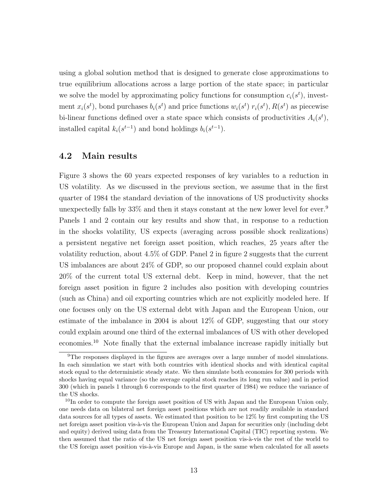using a global solution method that is designed to generate close approximations to true equilibrium allocations across a large portion of the state space; in particular we solve the model by approximating policy functions for consumption  $c_i(s^t)$ , investment  $x_i(s^t)$ , bond purchases  $b_i(s^t)$  and price functions  $w_i(s^t)$   $r_i(s^t)$ ,  $R(s^t)$  as piecewise bi-linear functions defined over a state space which consists of productivities  $A_i(s^t)$ , installed capital  $k_i(s^{t-1})$  and bond holdings  $b_i(s^{t-1})$ .

## 4.2 Main results

Figure 3 shows the 60 years expected responses of key variables to a reduction in US volatility. As we discussed in the previous section, we assume that in the first quarter of 1984 the standard deviation of the innovations of US productivity shocks unexpectedly falls by 33% and then it stays constant at the new lower level for ever.<sup>9</sup> Panels 1 and 2 contain our key results and show that, in response to a reduction in the shocks volatility, US expects (averaging across possible shock realizations) a persistent negative net foreign asset position, which reaches, 25 years after the volatility reduction, about 4.5% of GDP. Panel 2 in figure 2 suggests that the current US imbalances are about 24% of GDP, so our proposed channel could explain about 20% of the current total US external debt. Keep in mind, however, that the net foreign asset position in figure 2 includes also position with developing countries (such as China) and oil exporting countries which are not explicitly modeled here. If one focuses only on the US external debt with Japan and the European Union, our estimate of the imbalance in 2004 is about 12% of GDP, suggesting that our story could explain around one third of the external imbalances of US with other developed economies.<sup>10</sup> Note finally that the external imbalance increase rapidly initially but

<sup>&</sup>lt;sup>9</sup>The responses displayed in the figures are averages over a large number of model simulations. In each simulation we start with both countries with identical shocks and with identical capital stock equal to the deterministic steady state. We then simulate both economies for 300 periods with shocks having equal variance (so the average capital stock reaches its long run value) and in period 300 (which in panels 1 through 6 corresponds to the first quarter of 1984) we reduce the variance of the US shocks.

 $10$ In order to compute the foreign asset position of US with Japan and the European Union only, one needs data on bilateral net foreign asset positions which are not readily available in standard data sources for all types of assets. We estimated that position to be 12% by first computing the US net foreign asset position vis-à-vis the European Union and Japan for securities only (including debt and equity) derived using data from the Treasury International Capital (TIC) reporting system. We then assumed that the ratio of the US net foreign asset position vis- $\grave{a}$ -vis the rest of the world to the US foreign asset position vis-à-vis Europe and Japan, is the same when calculated for all assets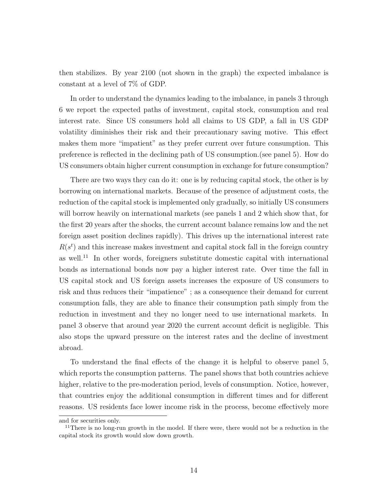then stabilizes. By year 2100 (not shown in the graph) the expected imbalance is constant at a level of 7% of GDP.

In order to understand the dynamics leading to the imbalance, in panels 3 through 6 we report the expected paths of investment, capital stock, consumption and real interest rate. Since US consumers hold all claims to US GDP, a fall in US GDP volatility diminishes their risk and their precautionary saving motive. This effect makes them more "impatient" as they prefer current over future consumption. This preference is reflected in the declining path of US consumption.(see panel 5). How do US consumers obtain higher current consumption in exchange for future consumption?

There are two ways they can do it: one is by reducing capital stock, the other is by borrowing on international markets. Because of the presence of adjustment costs, the reduction of the capital stock is implemented only gradually, so initially US consumers will borrow heavily on international markets (see panels 1 and 2 which show that, for the first 20 years after the shocks, the current account balance remains low and the net foreign asset position declines rapidly). This drives up the international interest rate  $R(s^t)$  and this increase makes investment and capital stock fall in the foreign country as well.<sup>11</sup> In other words, foreigners substitute domestic capital with international bonds as international bonds now pay a higher interest rate. Over time the fall in US capital stock and US foreign assets increases the exposure of US consumers to risk and thus reduces their "impatience" ; as a consequence their demand for current consumption falls, they are able to finance their consumption path simply from the reduction in investment and they no longer need to use international markets. In panel 3 observe that around year 2020 the current account deficit is negligible. This also stops the upward pressure on the interest rates and the decline of investment abroad.

To understand the final effects of the change it is helpful to observe panel 5, which reports the consumption patterns. The panel shows that both countries achieve higher, relative to the pre-moderation period, levels of consumption. Notice, however, that countries enjoy the additional consumption in different times and for different reasons. US residents face lower income risk in the process, become effectively more

and for securities only.

<sup>&</sup>lt;sup>11</sup>There is no long-run growth in the model. If there were, there would not be a reduction in the capital stock its growth would slow down growth.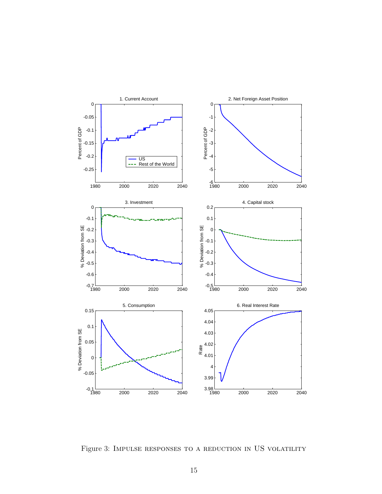

Figure 3: IMPULSE RESPONSES TO A REDUCTION IN US VOLATILITY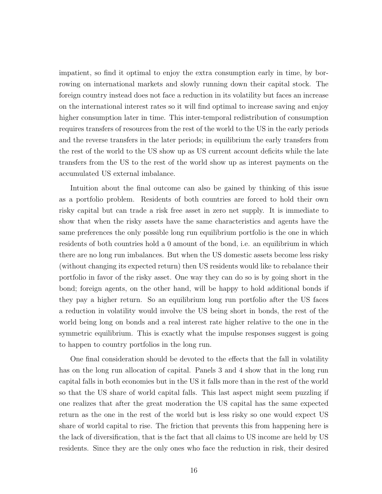impatient, so find it optimal to enjoy the extra consumption early in time, by borrowing on international markets and slowly running down their capital stock. The foreign country instead does not face a reduction in its volatility but faces an increase on the international interest rates so it will find optimal to increase saving and enjoy higher consumption later in time. This inter-temporal redistribution of consumption requires transfers of resources from the rest of the world to the US in the early periods and the reverse transfers in the later periods; in equilibrium the early transfers from the rest of the world to the US show up as US current account deficits while the late transfers from the US to the rest of the world show up as interest payments on the accumulated US external imbalance.

Intuition about the final outcome can also be gained by thinking of this issue as a portfolio problem. Residents of both countries are forced to hold their own risky capital but can trade a risk free asset in zero net supply. It is immediate to show that when the risky assets have the same characteristics and agents have the same preferences the only possible long run equilibrium portfolio is the one in which residents of both countries hold a 0 amount of the bond, i.e. an equilibrium in which there are no long run imbalances. But when the US domestic assets become less risky (without changing its expected return) then US residents would like to rebalance their portfolio in favor of the risky asset. One way they can do so is by going short in the bond; foreign agents, on the other hand, will be happy to hold additional bonds if they pay a higher return. So an equilibrium long run portfolio after the US faces a reduction in volatility would involve the US being short in bonds, the rest of the world being long on bonds and a real interest rate higher relative to the one in the symmetric equilibrium. This is exactly what the impulse responses suggest is going to happen to country portfolios in the long run.

One final consideration should be devoted to the effects that the fall in volatility has on the long run allocation of capital. Panels 3 and 4 show that in the long run capital falls in both economies but in the US it falls more than in the rest of the world so that the US share of world capital falls. This last aspect might seem puzzling if one realizes that after the great moderation the US capital has the same expected return as the one in the rest of the world but is less risky so one would expect US share of world capital to rise. The friction that prevents this from happening here is the lack of diversification, that is the fact that all claims to US income are held by US residents. Since they are the only ones who face the reduction in risk, their desired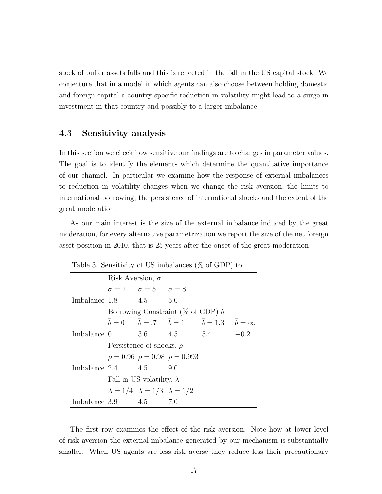stock of buffer assets falls and this is reflected in the fall in the US capital stock. We conjecture that in a model in which agents can also choose between holding domestic and foreign capital a country specific reduction in volatility might lead to a surge in investment in that country and possibly to a larger imbalance.

### 4.3 Sensitivity analysis

In this section we check how sensitive our findings are to changes in parameter values. The goal is to identify the elements which determine the quantitative importance of our channel. In particular we examine how the response of external imbalances to reduction in volatility changes when we change the risk aversion, the limits to international borrowing, the persistence of international shocks and the extent of the great moderation.

As our main interest is the size of the external imbalance induced by the great moderation, for every alternative parametrization we report the size of the net foreign asset position in 2010, that is 25 years after the onset of the great moderation

| Table 5. Sensitivity of US imparances (70 Of GDT) to |                                            |                                                 |  |                                                                     |        |  |  |
|------------------------------------------------------|--------------------------------------------|-------------------------------------------------|--|---------------------------------------------------------------------|--------|--|--|
|                                                      | Risk Aversion, $\sigma$                    |                                                 |  |                                                                     |        |  |  |
|                                                      |                                            | $\sigma = 2$ $\sigma = 5$ $\sigma = 8$          |  |                                                                     |        |  |  |
| Imbalance $1.8$ $4.5$ $5.0$                          |                                            |                                                 |  |                                                                     |        |  |  |
|                                                      | Borrowing Constraint ( $\%$ of GDP) b      |                                                 |  |                                                                     |        |  |  |
|                                                      |                                            |                                                 |  | $\bar{b}=0$ $\bar{b}=.7$ $\bar{b}=1$ $\bar{b}=1.3$ $\bar{b}=\infty$ |        |  |  |
| Imbalance 0                                          |                                            |                                                 |  | 3.6 4.5 5.4                                                         | $-0.2$ |  |  |
|                                                      | Persistence of shocks, $\rho$              |                                                 |  |                                                                     |        |  |  |
|                                                      | $\rho = 0.96$ $\rho = 0.98$ $\rho = 0.993$ |                                                 |  |                                                                     |        |  |  |
| Imbalance $2.4$ $4.5$ $9.0$                          |                                            |                                                 |  |                                                                     |        |  |  |
|                                                      | Fall in US volatility, $\lambda$           |                                                 |  |                                                                     |        |  |  |
|                                                      |                                            | $\lambda = 1/4$ $\lambda = 1/3$ $\lambda = 1/2$ |  |                                                                     |        |  |  |
| Imbalance $3.9$ $4.5$ $7.0$                          |                                            |                                                 |  |                                                                     |        |  |  |

Table 3. Sensitivity of US imbalances  $(\%$  of CDP) to

The first row examines the effect of the risk aversion. Note how at lower level of risk aversion the external imbalance generated by our mechanism is substantially smaller. When US agents are less risk averse they reduce less their precautionary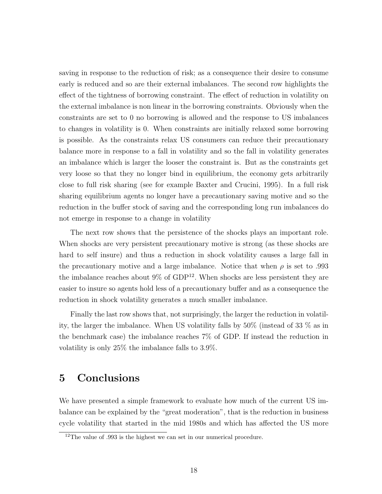saving in response to the reduction of risk; as a consequence their desire to consume early is reduced and so are their external imbalances. The second row highlights the effect of the tightness of borrowing constraint. The effect of reduction in volatility on the external imbalance is non linear in the borrowing constraints. Obviously when the constraints are set to 0 no borrowing is allowed and the response to US imbalances to changes in volatility is 0. When constraints are initially relaxed some borrowing is possible. As the constraints relax US consumers can reduce their precautionary balance more in response to a fall in volatility and so the fall in volatility generates an imbalance which is larger the looser the constraint is. But as the constraints get very loose so that they no longer bind in equilibrium, the economy gets arbitrarily close to full risk sharing (see for example Baxter and Crucini, 1995). In a full risk sharing equilibrium agents no longer have a precautionary saving motive and so the reduction in the buffer stock of saving and the corresponding long run imbalances do not emerge in response to a change in volatility

The next row shows that the persistence of the shocks plays an important role. When shocks are very persistent precautionary motive is strong (as these shocks are hard to self insure) and thus a reduction in shock volatility causes a large fall in the precautionary motive and a large imbalance. Notice that when  $\rho$  is set to .993 the imbalance reaches about  $9\%$  of GDP<sup>12</sup>. When shocks are less persistent they are easier to insure so agents hold less of a precautionary buffer and as a consequence the reduction in shock volatility generates a much smaller imbalance.

Finally the last row shows that, not surprisingly, the larger the reduction in volatility, the larger the imbalance. When US volatility falls by 50% (instead of 33 % as in the benchmark case) the imbalance reaches 7% of GDP. If instead the reduction in volatility is only 25% the imbalance falls to 3.9%.

# 5 Conclusions

We have presented a simple framework to evaluate how much of the current US imbalance can be explained by the "great moderation", that is the reduction in business cycle volatility that started in the mid 1980s and which has affected the US more

<sup>&</sup>lt;sup>12</sup>The value of .993 is the highest we can set in our numerical procedure.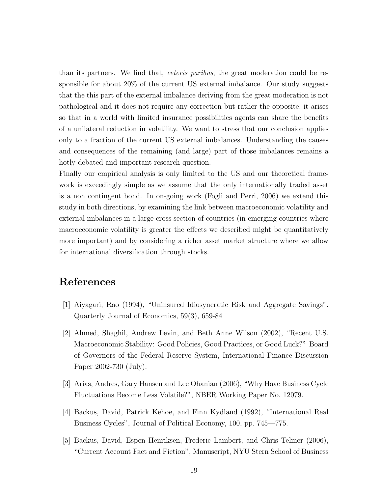than its partners. We find that, ceteris paribus, the great moderation could be responsible for about 20% of the current US external imbalance. Our study suggests that the this part of the external imbalance deriving from the great moderation is not pathological and it does not require any correction but rather the opposite; it arises so that in a world with limited insurance possibilities agents can share the benefits of a unilateral reduction in volatility. We want to stress that our conclusion applies only to a fraction of the current US external imbalances. Understanding the causes and consequences of the remaining (and large) part of those imbalances remains a hotly debated and important research question.

Finally our empirical analysis is only limited to the US and our theoretical framework is exceedingly simple as we assume that the only internationally traded asset is a non contingent bond. In on-going work (Fogli and Perri, 2006) we extend this study in both directions, by examining the link between macroeconomic volatility and external imbalances in a large cross section of countries (in emerging countries where macroeconomic volatility is greater the effects we described might be quantitatively more important) and by considering a richer asset market structure where we allow for international diversification through stocks.

# References

- [1] Aiyagari, Rao (1994), "Uninsured Idiosyncratic Risk and Aggregate Savings". Quarterly Journal of Economics, 59(3), 659-84
- [2] Ahmed, Shaghil, Andrew Levin, and Beth Anne Wilson (2002), "Recent U.S. Macroeconomic Stability: Good Policies, Good Practices, or Good Luck?" Board of Governors of the Federal Reserve System, International Finance Discussion Paper 2002-730 (July).
- [3] Arias, Andres, Gary Hansen and Lee Ohanian (2006), "Why Have Business Cycle Fluctuations Become Less Volatile?", NBER Working Paper No. 12079.
- [4] Backus, David, Patrick Kehoe, and Finn Kydland (1992), "International Real Business Cycles", Journal of Political Economy, 100, pp. 745—775.
- [5] Backus, David, Espen Henriksen, Frederic Lambert, and Chris Telmer (2006), "Current Account Fact and Fiction", Manuscript, NYU Stern School of Business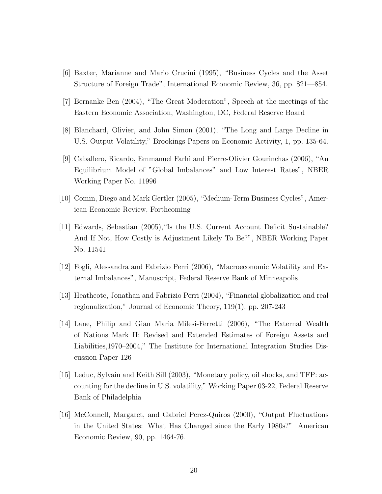- [6] Baxter, Marianne and Mario Crucini (1995), "Business Cycles and the Asset Structure of Foreign Trade", International Economic Review, 36, pp. 821—854.
- [7] Bernanke Ben (2004), "The Great Moderation", Speech at the meetings of the Eastern Economic Association, Washington, DC, Federal Reserve Board
- [8] Blanchard, Olivier, and John Simon (2001), "The Long and Large Decline in U.S. Output Volatility," Brookings Papers on Economic Activity, 1, pp. 135-64.
- [9] Caballero, Ricardo, Emmanuel Farhi and Pierre-Olivier Gourinchas (2006), "An Equilibrium Model of "Global Imbalances" and Low Interest Rates", NBER Working Paper No. 11996
- [10] Comin, Diego and Mark Gertler (2005), "Medium-Term Business Cycles", American Economic Review, Forthcoming
- [11] Edwards, Sebastian (2005),"Is the U.S. Current Account Deficit Sustainable? And If Not, How Costly is Adjustment Likely To Be?", NBER Working Paper No. 11541
- [12] Fogli, Alessandra and Fabrizio Perri (2006), "Macroeconomic Volatility and External Imbalances", Manuscript, Federal Reserve Bank of Minneapolis
- [13] Heathcote, Jonathan and Fabrizio Perri (2004), "Financial globalization and real regionalization," Journal of Economic Theory, 119(1), pp. 207-243
- [14] Lane, Philip and Gian Maria Milesi-Ferretti (2006), "The External Wealth of Nations Mark II: Revised and Extended Estimates of Foreign Assets and Liabilities,1970–2004," The Institute for International Integration Studies Discussion Paper 126
- [15] Leduc, Sylvain and Keith Sill (2003), "Monetary policy, oil shocks, and TFP: accounting for the decline in U.S. volatility," Working Paper 03-22, Federal Reserve Bank of Philadelphia
- [16] McConnell, Margaret, and Gabriel Perez-Quiros (2000), "Output Fluctuations in the United States: What Has Changed since the Early 1980s?" American Economic Review, 90, pp. 1464-76.